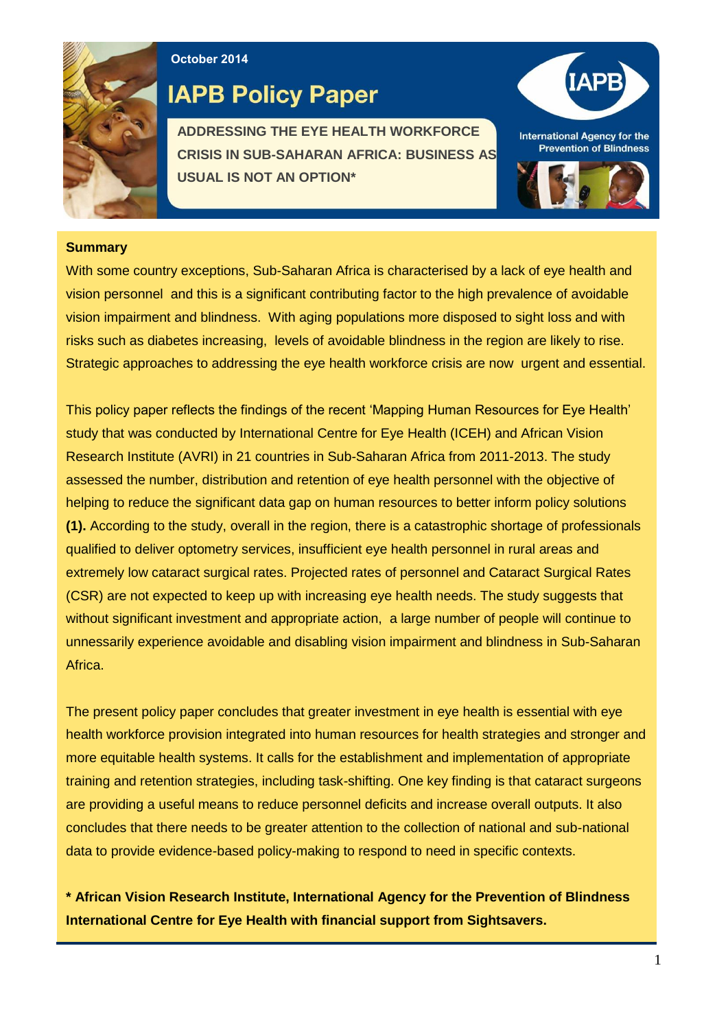

**October 2014**

# **IAPB Policy Paper**

**ADDRESSING THE EYE HEALTH WORKFORCE CRISIS IN SUB-SAHARAN AFRICA: BUSINESS AS USUAL IS NOT AN OPTION\***



### **Summary**

With some country exceptions, Sub-Saharan Africa is characterised by a lack of eye health and vision personnel and this is a significant contributing factor to the high prevalence of avoidable vision impairment and blindness. With aging populations more disposed to sight loss and with risks such as diabetes increasing, levels of avoidable blindness in the region are likely to rise. Strategic approaches to addressing the eye health workforce crisis are now urgent and essential.

This policy paper reflects the findings of the recent 'Mapping Human Resources for Eye Health' study that was conducted by International Centre for Eye Health (ICEH) and African Vision Research Institute (AVRI) in 21 countries in Sub-Saharan Africa from 2011-2013. The study assessed the number, distribution and retention of eye health personnel with the objective of helping to reduce the significant data gap on human resources to better inform policy solutions **(1).** According to the study, overall in the region, there is a catastrophic shortage of professionals qualified to deliver optometry services, insufficient eye health personnel in rural areas and extremely low cataract surgical rates. Projected rates of personnel and Cataract Surgical Rates (CSR) are not expected to keep up with increasing eye health needs. The study suggests that without significant investment and appropriate action, a large number of people will continue to unnessarily experience avoidable and disabling vision impairment and blindness in Sub-Saharan Africa.

The present policy paper concludes that greater investment in eye health is essential with eye health workforce provision integrated into human resources for health strategies and stronger and more equitable health systems. It calls for the establishment and implementation of appropriate training and retention strategies, including task-shifting. One key finding is that cataract surgeons are providing a useful means to reduce personnel deficits and increase overall outputs. It also concludes that there needs to be greater attention to the collection of national and sub-national data to provide evidence-based policy-making to respond to need in specific contexts.

**\* African Vision Research Institute, International Agency for the Prevention of Blindness International Centre for Eye Health with financial support from Sightsavers.**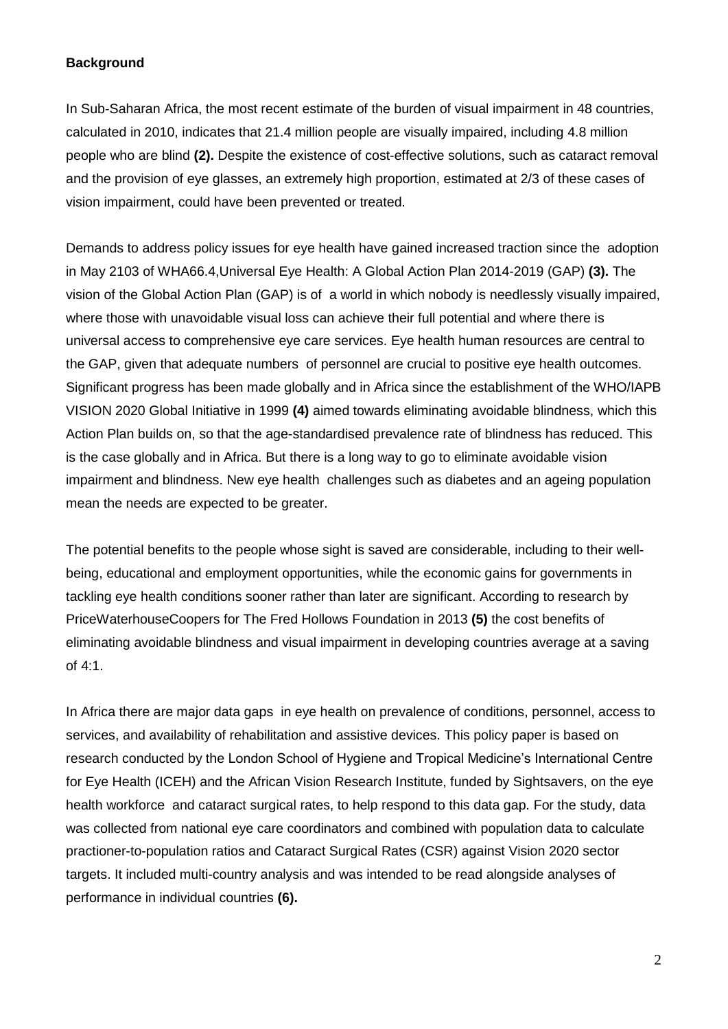# **Background**

In Sub-Saharan Africa, the most recent estimate of the burden of visual impairment in 48 countries, calculated in 2010, indicates that 21.4 million people are visually impaired, including 4.8 million people who are blind **(2).** Despite the existence of cost-effective solutions, such as cataract removal and the provision of eye glasses, an extremely high proportion, estimated at 2/3 of these cases of vision impairment, could have been prevented or treated.

Demands to address policy issues for eye health have gained increased traction since the adoption in May 2103 of WHA66.4,Universal Eye Health: A Global Action Plan 2014-2019 (GAP) **(3).** The vision of the [Global Action Plan](http://www.iapb.org/advocacy/who-action-plan/focus-challenges) (GAP) is of a world in which nobody is needlessly visually impaired, where those with unavoidable visual loss can achieve their full potential and where there is universal access to comprehensive eye care services. Eye health human resources are central to the GAP, given that adequate numbers of personnel are crucial to positive eye health outcomes. Significant progress has been made globally and in Africa since the establishment of the WHO/IAPB VISION 2020 Global Initiative in 1999 **(4)** aimed towards eliminating avoidable blindness, which this Action Plan builds on, so that the age-standardised prevalence rate of blindness has reduced. This is the case globally and in Africa. But there is a long way to go to eliminate avoidable vision impairment and blindness. New eye health challenges such as diabetes and an ageing population mean the needs are expected to be greater.

The potential benefits to the people whose sight is saved are considerable, including to their wellbeing, educational and employment opportunities, while the economic gains for governments in tackling eye health conditions sooner rather than later are significant. According to research by PriceWaterhouseCoopers for The Fred Hollows Foundation in 2013 **(5)** the cost benefits of eliminating avoidable blindness and visual impairment in developing countries average at a saving of 4:1.

In Africa there are major data gaps in eye health on prevalence of conditions, personnel, access to services, and availability of rehabilitation and assistive devices. This policy paper is based on research conducted by the London School of Hygiene and Tropical Medicine's International Centre for Eye Health (ICEH) and the African Vision Research Institute, funded by Sightsavers, on the eye health workforce and cataract surgical rates, to help respond to this data gap. For the study, data was collected from national eye care coordinators and combined with population data to calculate practioner-to-population ratios and Cataract Surgical Rates (CSR) against Vision 2020 sector targets. It included multi-country analysis and was intended to be read alongside analyses of performance in individual countries **(6).**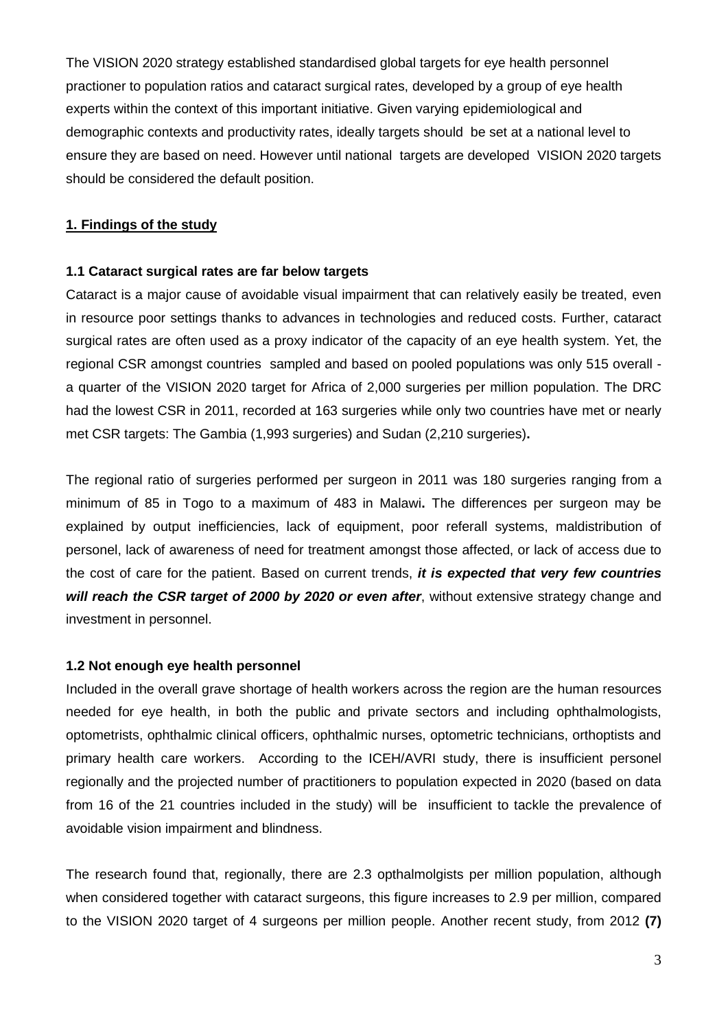The VISION 2020 strategy established standardised global targets for eye health personnel practioner to population ratios and cataract surgical rates, developed by a group of eye health experts within the context of this important initiative. Given varying epidemiological and demographic contexts and productivity rates, ideally targets should be set at a national level to ensure they are based on need. However until national targets are developed VISION 2020 targets should be considered the default position.

# **1. Findings of the study**

#### **1.1 Cataract surgical rates are far below targets**

Cataract is a major cause of avoidable visual impairment that can relatively easily be treated, even in resource poor settings thanks to advances in technologies and reduced costs. Further, cataract surgical rates are often used as a proxy indicator of the capacity of an eye health system. Yet, the regional CSR amongst countries sampled and based on pooled populations was only 515 overall a quarter of the VISION 2020 target for Africa of 2,000 surgeries per million population. The DRC had the lowest CSR in 2011, recorded at 163 surgeries while only two countries have met or nearly met CSR targets: The Gambia (1,993 surgeries) and Sudan (2,210 surgeries)**.**

The regional ratio of surgeries performed per surgeon in 2011 was 180 surgeries ranging from a minimum of 85 in Togo to a maximum of 483 in Malawi**.** The differences per surgeon may be explained by output inefficiencies, lack of equipment, poor referall systems, maldistribution of personel, lack of awareness of need for treatment amongst those affected, or lack of access due to the cost of care for the patient. Based on current trends, *it is expected that very few countries will reach the CSR target of 2000 by 2020 or even after*, without extensive strategy change and investment in personnel.

#### **1.2 Not enough eye health personnel**

Included in the overall grave shortage of health workers across the region are the human resources needed for eye health, in both the public and private sectors and including ophthalmologists, optometrists, ophthalmic clinical officers, ophthalmic nurses, optometric technicians, orthoptists and primary health care workers. According to the ICEH/AVRI study, there is insufficient personel regionally and the projected number of practitioners to population expected in 2020 (based on data from 16 of the 21 countries included in the study) will be insufficient to tackle the prevalence of avoidable vision impairment and blindness.

The research found that, regionally, there are 2.3 opthalmolgists per million population, although when considered together with cataract surgeons, this figure increases to 2.9 per million, compared to the VISION 2020 target of 4 surgeons per million people. Another recent study, from 2012 **(7)**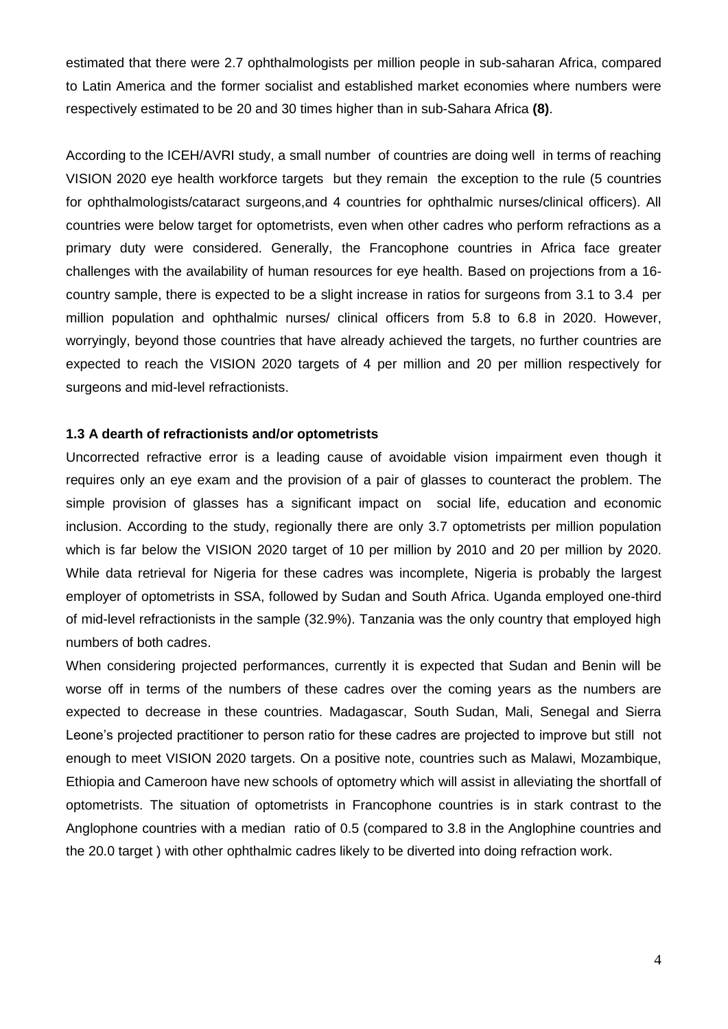estimated that there were 2.7 ophthalmologists per million people in sub-saharan Africa, compared to Latin America and the former socialist and established market economies where numbers were respectively estimated to be 20 and 30 times higher than in sub-Sahara Africa **(8)**.

According to the ICEH/AVRI study, a small number of countries are doing well in terms of reaching VISION 2020 eye health workforce targets but they remain the exception to the rule (5 countries for ophthalmologists/cataract surgeons,and 4 countries for ophthalmic nurses/clinical officers). All countries were below target for optometrists, even when other cadres who perform refractions as a primary duty were considered. Generally, the Francophone countries in Africa face greater challenges with the availability of human resources for eye health. Based on projections from a 16 country sample, there is expected to be a slight increase in ratios for surgeons from 3.1 to 3.4 per million population and ophthalmic nurses/ clinical officers from 5.8 to 6.8 in 2020. However, worryingly, beyond those countries that have already achieved the targets, no further countries are expected to reach the VISION 2020 targets of 4 per million and 20 per million respectively for surgeons and mid-level refractionists.

#### **1.3 A dearth of refractionists and/or optometrists**

Uncorrected refractive error is a leading cause of avoidable vision impairment even though it requires only an eye exam and the provision of a pair of glasses to counteract the problem. The simple provision of glasses has a significant impact on social life, education and economic inclusion. According to the study, regionally there are only 3.7 optometrists per million population which is far below the VISION 2020 target of 10 per million by 2010 and 20 per million by 2020. While data retrieval for Nigeria for these cadres was incomplete, Nigeria is probably the largest employer of optometrists in SSA, followed by Sudan and South Africa. Uganda employed one-third of mid-level refractionists in the sample (32.9%). Tanzania was the only country that employed high numbers of both cadres.

When considering projected performances, currently it is expected that Sudan and Benin will be worse off in terms of the numbers of these cadres over the coming years as the numbers are expected to decrease in these countries. Madagascar, South Sudan, Mali, Senegal and Sierra Leone's projected practitioner to person ratio for these cadres are projected to improve but still not enough to meet VISION 2020 targets. On a positive note, countries such as Malawi, Mozambique, Ethiopia and Cameroon have new schools of optometry which will assist in alleviating the shortfall of optometrists. The situation of optometrists in Francophone countries is in stark contrast to the Anglophone countries with a median ratio of 0.5 (compared to 3.8 in the Anglophine countries and the 20.0 target ) with other ophthalmic cadres likely to be diverted into doing refraction work.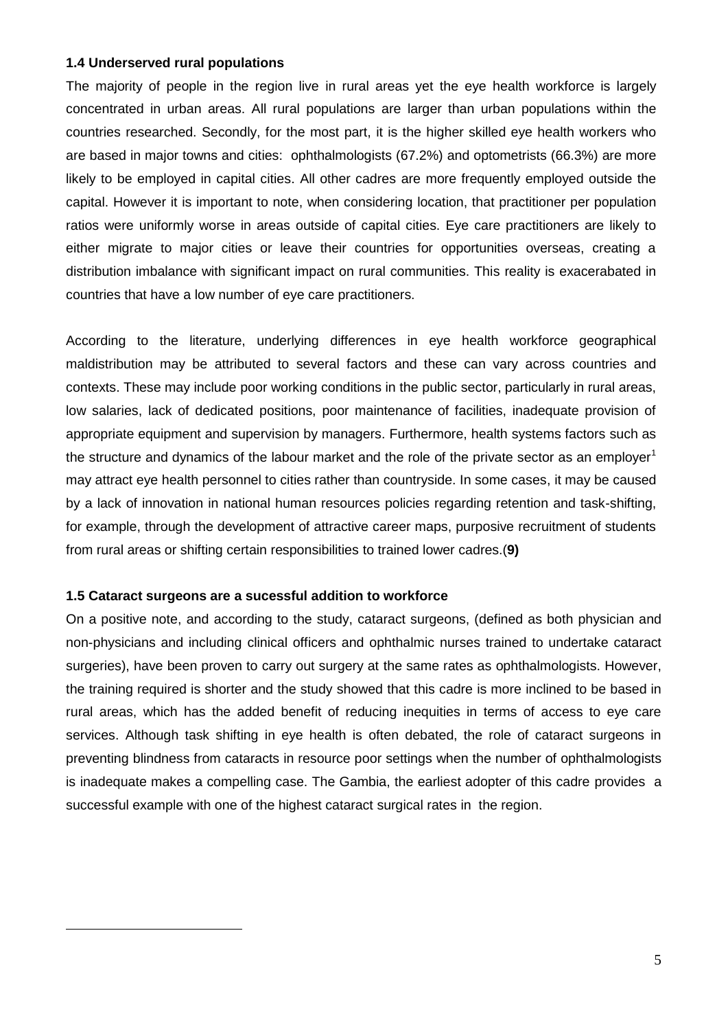#### **1.4 Underserved rural populations**

The majority of people in the region live in rural areas yet the eye health workforce is largely concentrated in urban areas. All rural populations are larger than urban populations within the countries researched. Secondly, for the most part, it is the higher skilled eye health workers who are based in major towns and cities: ophthalmologists (67.2%) and optometrists (66.3%) are more likely to be employed in capital cities. All other cadres are more frequently employed outside the capital. However it is important to note, when considering location, that practitioner per population ratios were uniformly worse in areas outside of capital cities. Eye care practitioners are likely to either migrate to major cities or leave their countries for opportunities overseas, creating a distribution imbalance with significant impact on rural communities. This reality is exacerabated in countries that have a low number of eye care practitioners.

According to the literature, underlying differences in eye health workforce geographical maldistribution may be attributed to several factors and these can vary across countries and contexts. These may include poor working conditions in the public sector, particularly in rural areas, low salaries, lack of dedicated positions, poor maintenance of facilities, inadequate provision of appropriate equipment and supervision by managers. Furthermore, health systems factors such as the structure and dynamics of the labour market and the role of the private sector as an employer<sup>1</sup> may attract eye health personnel to cities rather than countryside. In some cases, it may be caused by a lack of innovation in national human resources policies regarding retention and task-shifting, for example, through the development of attractive career maps, purposive recruitment of students from rural areas or shifting certain responsibilities to trained lower cadres.(**9)**

# **1.5 Cataract surgeons are a sucessful addition to workforce**

 $\overline{a}$ 

On a positive note, and according to the study, cataract surgeons, (defined as both physician and non-physicians and including clinical officers and ophthalmic nurses trained to undertake cataract surgeries), have been proven to carry out surgery at the same rates as ophthalmologists. However, the training required is shorter and the study showed that this cadre is more inclined to be based in rural areas, which has the added benefit of reducing inequities in terms of access to eye care services. Although task shifting in eye health is often debated, the role of cataract surgeons in preventing blindness from cataracts in resource poor settings when the number of ophthalmologists is inadequate makes a compelling case. The Gambia, the earliest adopter of this cadre provides a successful example with one of the highest cataract surgical rates in the region.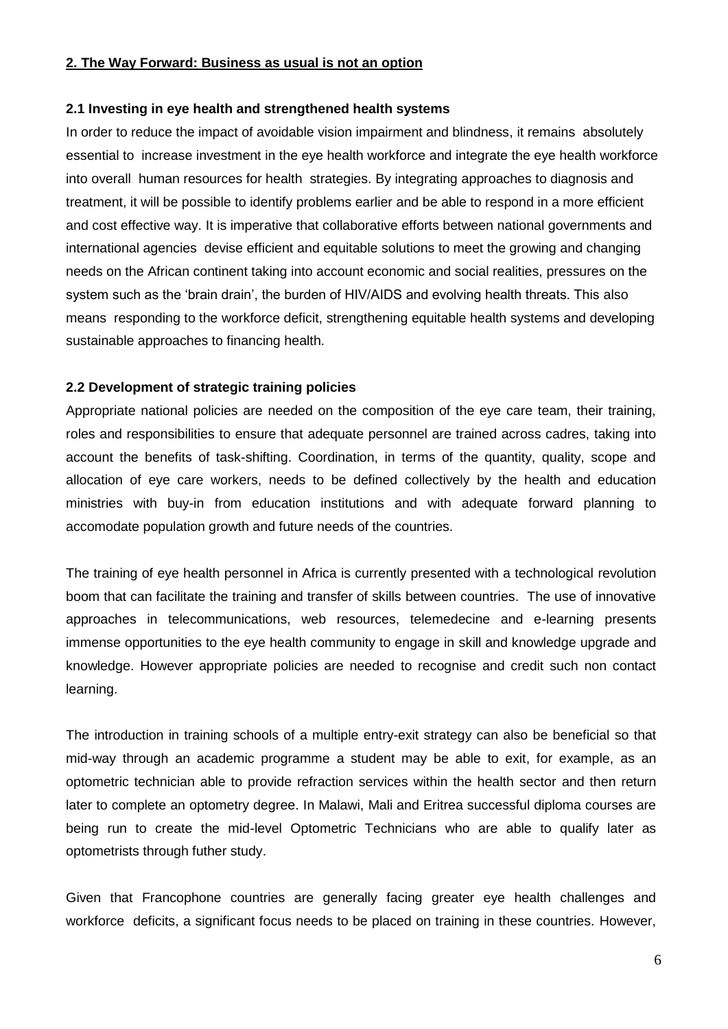# **2. The Way Forward: Business as usual is not an option**

#### **2.1 Investing in eye health and strengthened health systems**

In order to reduce the impact of avoidable vision impairment and blindness, it remains absolutely essential to increase investment in the eye health workforce and integrate the eye health workforce into overall human resources for health strategies. By integrating approaches to diagnosis and treatment, it will be possible to identify problems earlier and be able to respond in a more efficient and cost effective way. It is imperative that collaborative efforts between national governments and international agencies devise efficient and equitable solutions to meet the growing and changing needs on the African continent taking into account economic and social realities, pressures on the system such as the 'brain drain', the burden of HIV/AIDS and evolving health threats. This also means responding to the workforce deficit, strengthening equitable health systems and developing sustainable approaches to financing health.

# **2.2 Development of strategic training policies**

Appropriate national policies are needed on the composition of the eye care team, their training, roles and responsibilities to ensure that adequate personnel are trained across cadres, taking into account the benefits of task-shifting. Coordination, in terms of the quantity, quality, scope and allocation of eye care workers, needs to be defined collectively by the health and education ministries with buy-in from education institutions and with adequate forward planning to accomodate population growth and future needs of the countries.

The training of eye health personnel in Africa is currently presented with a technological revolution boom that can facilitate the training and transfer of skills between countries. The use of innovative approaches in telecommunications, web resources, telemedecine and e-learning presents immense opportunities to the eye health community to engage in skill and knowledge upgrade and knowledge. However appropriate policies are needed to recognise and credit such non contact learning.

The introduction in training schools of a multiple entry-exit strategy can also be beneficial so that mid-way through an academic programme a student may be able to exit, for example, as an optometric technician able to provide refraction services within the health sector and then return later to complete an optometry degree. In Malawi, Mali and Eritrea successful diploma courses are being run to create the mid-level Optometric Technicians who are able to qualify later as optometrists through futher study.

Given that Francophone countries are generally facing greater eye health challenges and workforce deficits, a significant focus needs to be placed on training in these countries. However,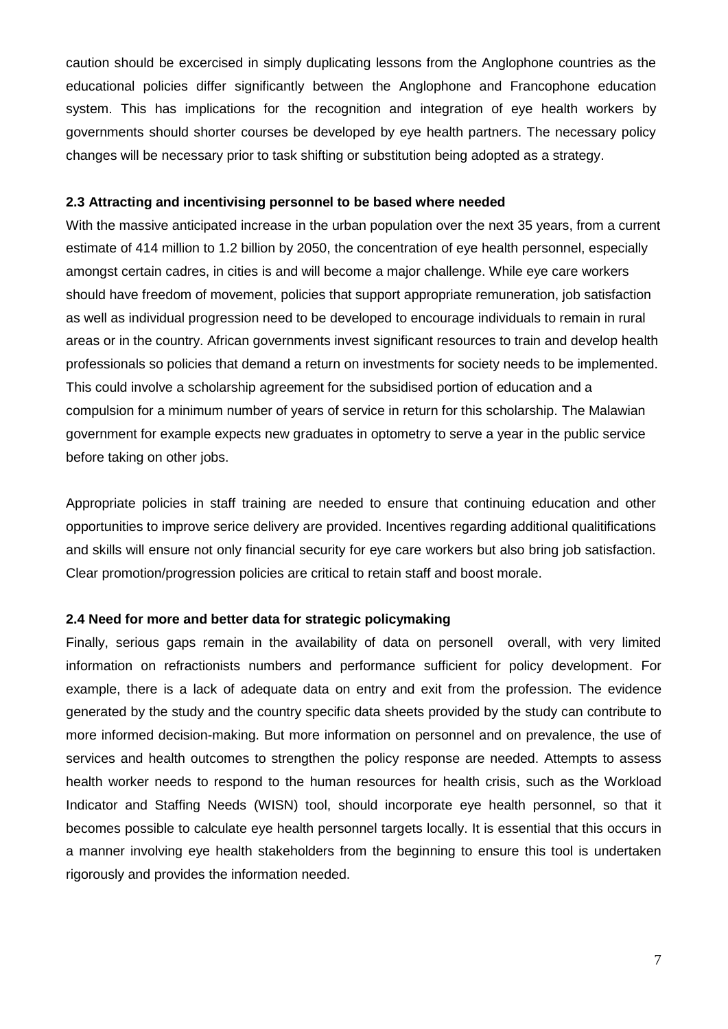caution should be excercised in simply duplicating lessons from the Anglophone countries as the educational policies differ significantly between the Anglophone and Francophone education system. This has implications for the recognition and integration of eye health workers by governments should shorter courses be developed by eye health partners. The necessary policy changes will be necessary prior to task shifting or substitution being adopted as a strategy.

#### **2.3 Attracting and incentivising personnel to be based where needed**

With the massive anticipated increase in the urban population over the next 35 years, from a current estimate of 414 million to 1.2 billion by 2050, the concentration of eye health personnel, especially amongst certain cadres, in cities is and will become a major challenge. While eye care workers should have freedom of movement, policies that support appropriate remuneration, job satisfaction as well as individual progression need to be developed to encourage individuals to remain in rural areas or in the country. African governments invest significant resources to train and develop health professionals so policies that demand a return on investments for society needs to be implemented. This could involve a scholarship agreement for the subsidised portion of education and a compulsion for a minimum number of years of service in return for this scholarship. The Malawian government for example expects new graduates in optometry to serve a year in the public service before taking on other jobs.

Appropriate policies in staff training are needed to ensure that continuing education and other opportunities to improve serice delivery are provided. Incentives regarding additional qualitifications and skills will ensure not only financial security for eye care workers but also bring job satisfaction. Clear promotion/progression policies are critical to retain staff and boost morale.

# **2.4 Need for more and better data for strategic policymaking**

Finally, serious gaps remain in the availability of data on personell overall, with very limited information on refractionists numbers and performance sufficient for policy development. For example, there is a lack of adequate data on entry and exit from the profession. The evidence generated by the study and the country specific data sheets provided by the study can contribute to more informed decision-making. But more information on personnel and on prevalence, the use of services and health outcomes to strengthen the policy response are needed. Attempts to assess health worker needs to respond to the human resources for health crisis, such as the Workload Indicator and Staffing Needs (WISN) tool, should incorporate eye health personnel, so that it becomes possible to calculate eye health personnel targets locally. It is essential that this occurs in a manner involving eye health stakeholders from the beginning to ensure this tool is undertaken rigorously and provides the information needed.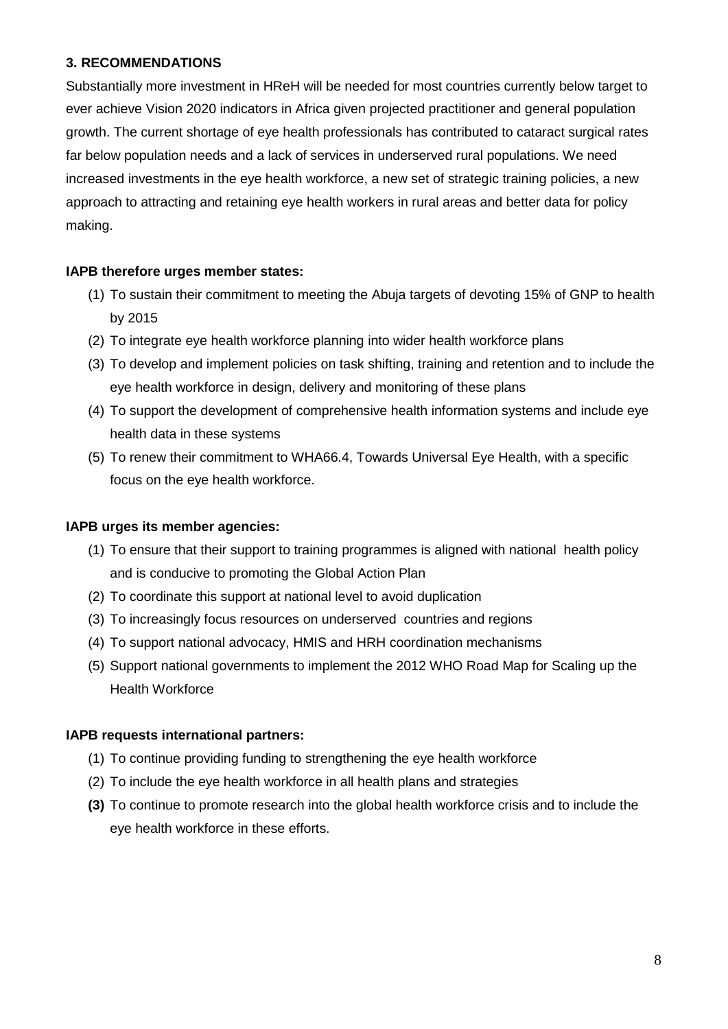# **3. RECOMMENDATIONS**

Substantially more investment in HReH will be needed for most countries currently below target to ever achieve Vision 2020 indicators in Africa given projected practitioner and general population growth. The current shortage of eye health professionals has contributed to cataract surgical rates far below population needs and a lack of services in underserved rural populations. We need increased investments in the eye health workforce, a new set of strategic training policies, a new approach to attracting and retaining eye health workers in rural areas and better data for policy making.

# **IAPB therefore urges member states:**

- (1) To sustain their commitment to meeting the Abuja targets of devoting 15% of GNP to health by 2015
- (2) To integrate eye health workforce planning into wider health workforce plans
- (3) To develop and implement policies on task shifting, training and retention and to include the eye health workforce in design, delivery and monitoring of these plans
- (4) To support the development of comprehensive health information systems and include eye health data in these systems
- (5) To renew their commitment to WHA66.4, Towards Universal Eye Health, with a specific focus on the eye health workforce.

# **IAPB urges its member agencies:**

- (1) To ensure that their support to training programmes is aligned with national health policy and is conducive to promoting the Global Action Plan
- (2) To coordinate this support at national level to avoid duplication
- (3) To increasingly focus resources on underserved countries and regions
- (4) To support national advocacy, HMIS and HRH coordination mechanisms
- (5) Support national governments to implement the 2012 WHO Road Map for Scaling up the Health Workforce

# **IAPB requests international partners:**

- (1) To continue providing funding to strengthening the eye health workforce
- (2) To include the eye health workforce in all health plans and strategies
- **(3)** To continue to promote research into the global health workforce crisis and to include the eye health workforce in these efforts.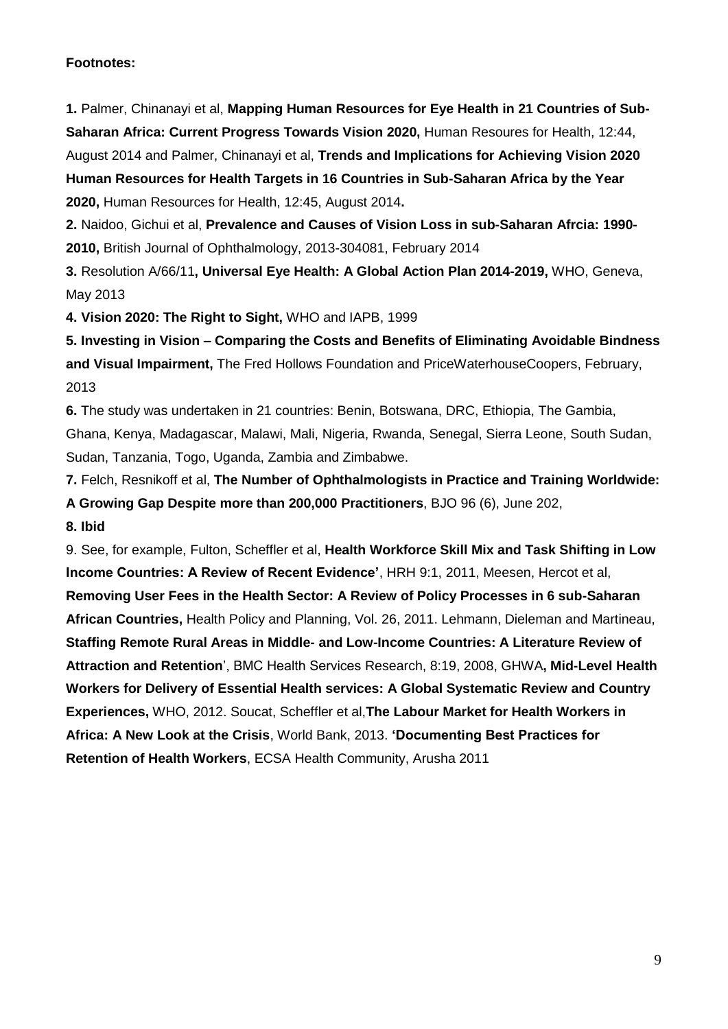# **Footnotes:**

**1.** Palmer, Chinanayi et al, **Mapping Human Resources for Eye Health in 21 Countries of Sub-Saharan Africa: Current Progress Towards Vision 2020,** Human Resoures for Health, 12:44, August 2014 and Palmer, Chinanayi et al, **Trends and Implications for Achieving Vision 2020 Human Resources for Health Targets in 16 Countries in Sub-Saharan Africa by the Year 2020,** Human Resources for Health, 12:45, August 2014**.**

**2.** Naidoo, Gichui et al, **Prevalence and Causes of Vision Loss in sub-Saharan Afrcia: 1990- 2010,** British Journal of Ophthalmology, 2013-304081, February 2014

**3.** Resolution A/66/11**, Universal Eye Health: A Global Action Plan 2014-2019,** WHO, Geneva, May 2013

**4. Vision 2020: The Right to Sight,** WHO and IAPB, 1999

**5. Investing in Vision – Comparing the Costs and Benefits of Eliminating Avoidable Bindness and Visual Impairment,** The Fred Hollows Foundation and PriceWaterhouseCoopers, February, 2013

**6.** The study was undertaken in 21 countries: Benin, Botswana, DRC, Ethiopia, The Gambia, Ghana, Kenya, Madagascar, Malawi, Mali, Nigeria, Rwanda, Senegal, Sierra Leone, South Sudan, Sudan, Tanzania, Togo, Uganda, Zambia and Zimbabwe.

**7.** Felch, Resnikoff et al, **The Number of Ophthalmologists in Practice and Training Worldwide: A Growing Gap Despite more than 200,000 Practitioners**, BJO 96 (6), June 202, **8. Ibid**

9. See, for example, Fulton, Scheffler et al, **Health Workforce Skill Mix and Task Shifting in Low Income Countries: A Review of Recent Evidence'**, HRH 9:1, 2011, Meesen, Hercot et al, **Removing User Fees in the Health Sector: A Review of Policy Processes in 6 sub-Saharan African Countries,** Health Policy and Planning, Vol. 26, 2011. Lehmann, Dieleman and Martineau, **Staffing Remote Rural Areas in Middle- and Low-Income Countries: A Literature Review of Attraction and Retention**', BMC Health Services Research, 8:19, 2008, GHWA**, Mid-Level Health Workers for Delivery of Essential Health services: A Global Systematic Review and Country Experiences,** WHO, 2012. Soucat, Scheffler et al,**The Labour Market for Health Workers in Africa: A New Look at the Crisis**, World Bank, 2013. **'Documenting Best Practices for Retention of Health Workers**, ECSA Health Community, Arusha 2011